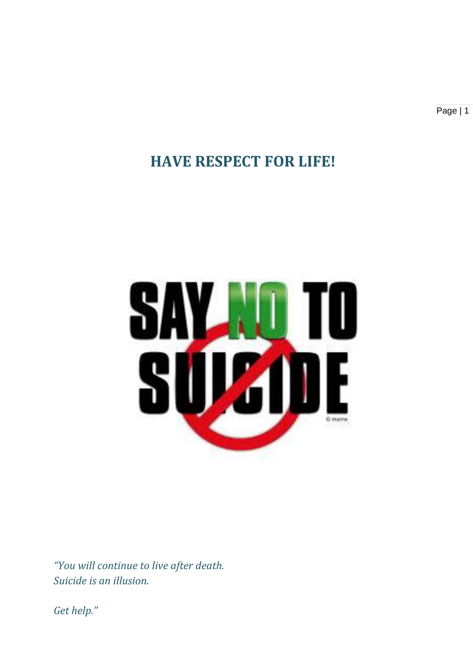Page | 1

## **HAVE RESPECT FOR LIFE!**



*"You will continue to live after death. Suicide is an illusion.*

*Get help."*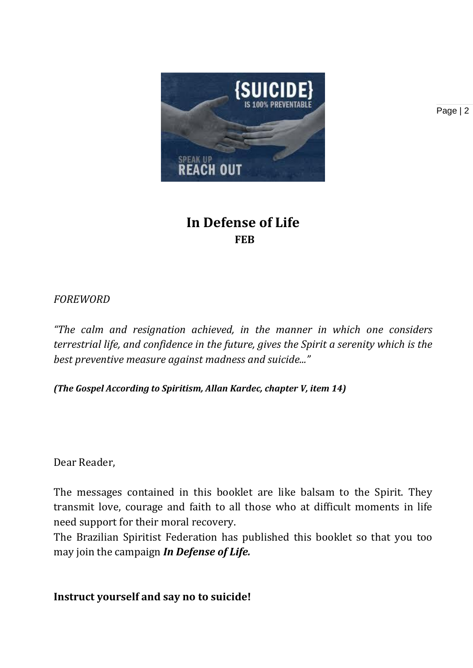

**In Defense of Life FEB**

#### *FOREWORD*

*"The calm and resignation achieved, in the manner in which one considers terrestrial life, and confidence in the future, gives the Spirit a serenity which is the best preventive measure against madness and suicide..."*

*(The Gospel According to Spiritism, Allan Kardec, chapter V, item 14)*

Dear Reader,

The messages contained in this booklet are like balsam to the Spirit. They transmit love, courage and faith to all those who at difficult moments in life need support for their moral recovery.

The Brazilian Spiritist Federation has published this booklet so that you too may join the campaign *In Defense of Life.*

**Instruct yourself and say no to suicide!**

Page | 2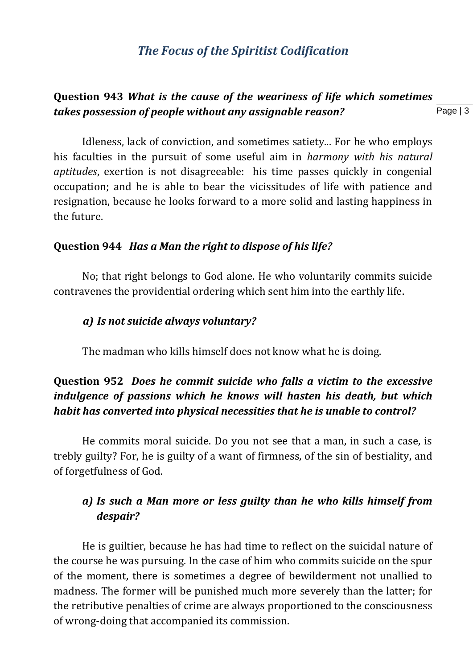#### *The Focus of the Spiritist Codification*

#### Page | 3 **Question 943** *What is the cause of the weariness of life which sometimes takes possession of people without any assignable reason?*

Idleness, lack of conviction, and sometimes satiety... For he who employs his faculties in the pursuit of some useful aim in *harmony with his natural aptitudes*, exertion is not disagreeable: his time passes quickly in congenial occupation; and he is able to bear the vicissitudes of life with patience and resignation, because he looks forward to a more solid and lasting happiness in the future.

#### **Question 944** *Has a Man the right to dispose of his life?*

No; that right belongs to God alone. He who voluntarily commits suicide contravenes the providential ordering which sent him into the earthly life.

#### *a) Is not suicide always voluntary?*

The madman who kills himself does not know what he is doing.

#### **Question 952** *Does he commit suicide who falls a victim to the excessive indulgence of passions which he knows will hasten his death, but which habit has converted into physical necessities that he is unable to control?*

 He commits moral suicide. Do you not see that a man, in such a case, is trebly guilty? For, he is guilty of a want of firmness, of the sin of bestiality, and of forgetfulness of God.

#### *a) Is such a Man more or less guilty than he who kills himself from despair?*

He is guiltier, because he has had time to reflect on the suicidal nature of the course he was pursuing. In the case of him who commits suicide on the spur of the moment, there is sometimes a degree of bewilderment not unallied to madness. The former will be punished much more severely than the latter; for the retributive penalties of crime are always proportioned to the consciousness of wrong-doing that accompanied its commission.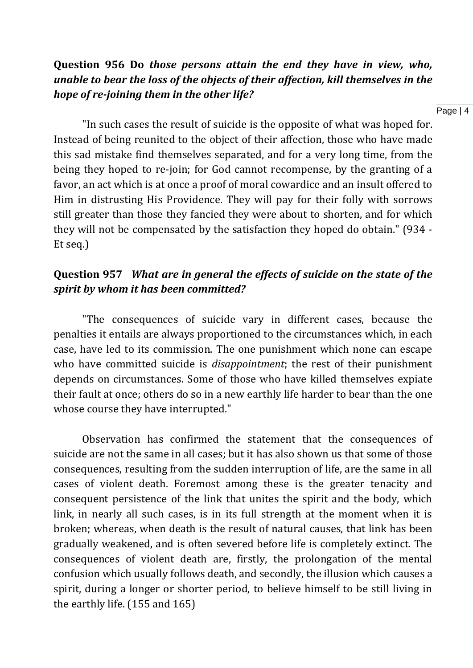#### **Question 956 Do** *those persons attain the end they have in view, who, unable to bear the loss of the objects of their affection, kill themselves in the hope of re-joining them in the other life?*

"In such cases the result of suicide is the opposite of what was hoped for. Instead of being reunited to the object of their affection, those who have made this sad mistake find themselves separated, and for a very long time, from the being they hoped to re-join; for God cannot recompense, by the granting of a favor, an act which is at once a proof of moral cowardice and an insult offered to Him in distrusting His Providence. They will pay for their folly with sorrows still greater than those they fancied they were about to shorten, and for which they will not be compensated by the satisfaction they hoped do obtain." (934 - Et seq.)

#### **Question 957** *What are in general the effects of suicide on the state of the spirit by whom it has been committed?*

"The consequences of suicide vary in different cases, because the penalties it entails are always proportioned to the circumstances which, in each case, have led to its commission. The one punishment which none can escape who have committed suicide is *disappointment*; the rest of their punishment depends on circumstances. Some of those who have killed themselves expiate their fault at once; others do so in a new earthly life harder to bear than the one whose course they have interrupted."

Observation has confirmed the statement that the consequences of suicide are not the same in all cases; but it has also shown us that some of those consequences, resulting from the sudden interruption of life, are the same in all cases of violent death. Foremost among these is the greater tenacity and consequent persistence of the link that unites the spirit and the body, which link, in nearly all such cases, is in its full strength at the moment when it is broken; whereas, when death is the result of natural causes, that link has been gradually weakened, and is often severed before life is completely extinct. The consequences of violent death are, firstly, the prolongation of the mental confusion which usually follows death, and secondly, the illusion which causes a spirit, during a longer or shorter period, to believe himself to be still living in the earthly life. (155 and 165)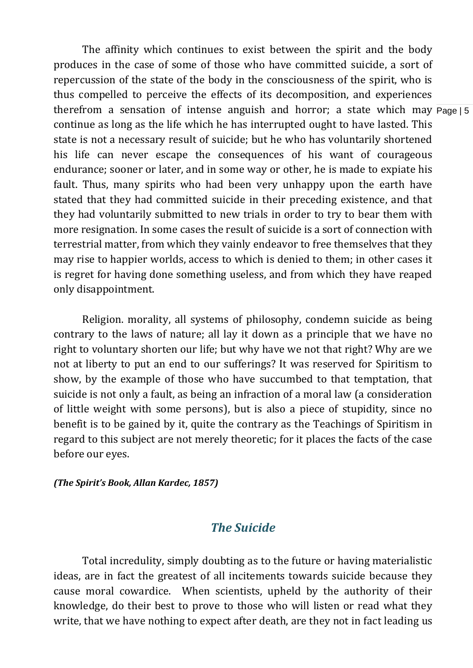therefrom a sensation of intense anguish and horror; a state which may Page | 5 The affinity which continues to exist between the spirit and the body produces in the case of some of those who have committed suicide, a sort of repercussion of the state of the body in the consciousness of the spirit, who is thus compelled to perceive the effects of its decomposition, and experiences continue as long as the life which he has interrupted ought to have lasted. This state is not a necessary result of suicide; but he who has voluntarily shortened his life can never escape the consequences of his want of courageous endurance; sooner or later, and in some way or other, he is made to expiate his fault. Thus, many spirits who had been very unhappy upon the earth have stated that they had committed suicide in their preceding existence, and that they had voluntarily submitted to new trials in order to try to bear them with more resignation. In some cases the result of suicide is a sort of connection with terrestrial matter, from which they vainly endeavor to free themselves that they may rise to happier worlds, access to which is denied to them; in other cases it is regret for having done something useless, and from which they have reaped only disappointment.

Religion. morality, all systems of philosophy, condemn suicide as being contrary to the laws of nature; all lay it down as a principle that we have no right to voluntary shorten our life; but why have we not that right? Why are we not at liberty to put an end to our sufferings? It was reserved for Spiritism to show, by the example of those who have succumbed to that temptation, that suicide is not only a fault, as being an infraction of a moral law (a consideration of little weight with some persons), but is also a piece of stupidity, since no benefit is to be gained by it, quite the contrary as the Teachings of Spiritism in regard to this subject are not merely theoretic; for it places the facts of the case before our eyes.

#### *(The Spirit's Book, Allan Kardec, 1857)*

#### *The Suicide*

Total incredulity, simply doubting as to the future or having materialistic ideas, are in fact the greatest of all incitements towards suicide because they cause moral cowardice. When scientists, upheld by the authority of their knowledge, do their best to prove to those who will listen or read what they write, that we have nothing to expect after death, are they not in fact leading us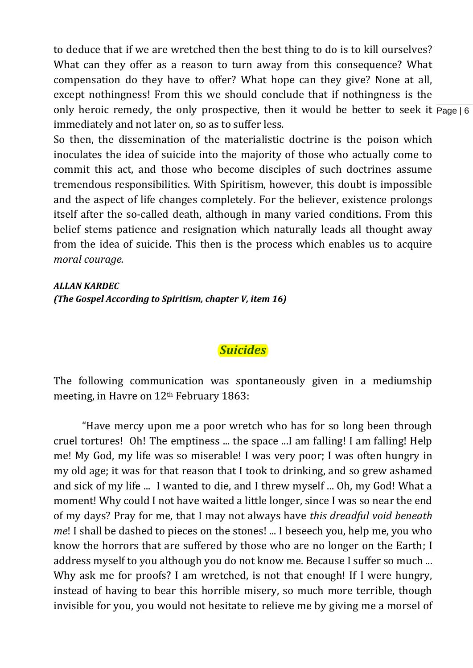only heroic remedy, the only prospective, then it would be better to seek it Page | 6 to deduce that if we are wretched then the best thing to do is to kill ourselves? What can they offer as a reason to turn away from this consequence? What compensation do they have to offer? What hope can they give? None at all, except nothingness! From this we should conclude that if nothingness is the immediately and not later on, so as to suffer less.

So then, the dissemination of the materialistic doctrine is the poison which inoculates the idea of suicide into the majority of those who actually come to commit this act, and those who become disciples of such doctrines assume tremendous responsibilities. With Spiritism, however, this doubt is impossible and the aspect of life changes completely. For the believer, existence prolongs itself after the so-called death, although in many varied conditions. From this belief stems patience and resignation which naturally leads all thought away from the idea of suicide. This then is the process which enables us to acquire *moral courage.*

*ALLAN KARDEC (The Gospel According to Spiritism, chapter V, item 16)*

#### *Suicides*

The following communication was spontaneously given in a mediumship meeting, in Havre on 12<sup>th</sup> February 1863:

"Have mercy upon me a poor wretch who has for so long been through cruel tortures! Oh! The emptiness ... the space ...I am falling! I am falling! Help me! My God, my life was so miserable! I was very poor; I was often hungry in my old age; it was for that reason that I took to drinking, and so grew ashamed and sick of my life ... I wanted to die, and I threw myself ... Oh, my God! What a moment! Why could I not have waited a little longer, since I was so near the end of my days? Pray for me, that I may not always have *this dreadful void beneath me*! I shall be dashed to pieces on the stones! ... I beseech you, help me, you who know the horrors that are suffered by those who are no longer on the Earth; I address myself to you although you do not know me. Because I suffer so much ... Why ask me for proofs? I am wretched, is not that enough! If I were hungry, instead of having to bear this horrible misery, so much more terrible, though invisible for you, you would not hesitate to relieve me by giving me a morsel of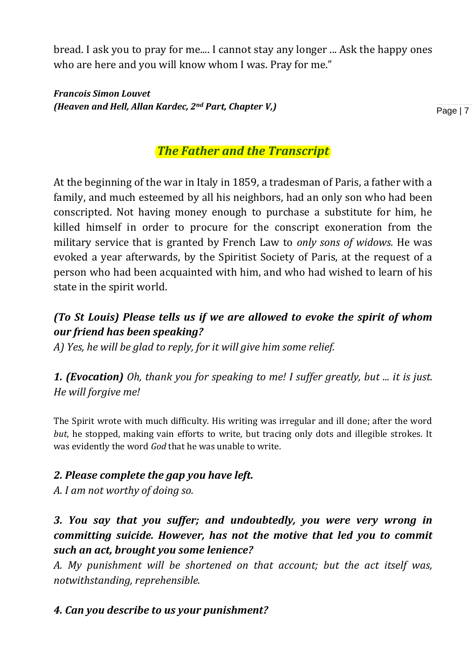bread. I ask you to pray for me.... I cannot stay any longer ... Ask the happy ones who are here and you will know whom I was. Pray for me."

*Francois Simon Louvet (Heaven and Hell, Allan Kardec, 2nd Part, Chapter V,)*

Page | 7

## *The Father and the Transcript*

At the beginning of the war in Italy in 1859, a tradesman of Paris, a father with a family, and much esteemed by all his neighbors, had an only son who had been conscripted. Not having money enough to purchase a substitute for him, he killed himself in order to procure for the conscript exoneration from the military service that is granted by French Law to *only sons of widows.* He was evoked a year afterwards, by the Spiritist Society of Paris, at the request of a person who had been acquainted with him, and who had wished to learn of his state in the spirit world.

## *(To St Louis) Please tells us if we are allowed to evoke the spirit of whom our friend has been speaking?*

*A) Yes, he will be glad to reply, for it will give him some relief.* 

*1. (Evocation) Oh, thank you for speaking to me! I suffer greatly, but ... it is just. He will forgive me!* 

The Spirit wrote with much difficulty. His writing was irregular and ill done; after the word *but*, he stopped, making vain efforts to write, but tracing only dots and illegible strokes. It was evidently the word *God* that he was unable to write.

#### *2. Please complete the gap you have left.*

*A. I am not worthy of doing so.*

## *3. You say that you suffer; and undoubtedly, you were very wrong in committing suicide. However, has not the motive that led you to commit such an act, brought you some lenience?*

*A. My punishment will be shortened on that account; but the act itself was, notwithstanding, reprehensible.* 

## *4. Can you describe to us your punishment?*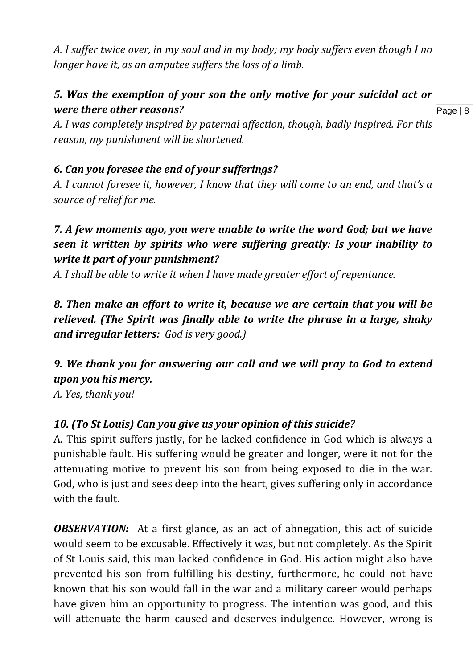*A. I suffer twice over, in my soul and in my body; my body suffers even though I no longer have it, as an amputee suffers the loss of a limb.*

## *5. Was the exemption of your son the only motive for your suicidal act or were there other reasons?*

Page | 8

*A. I was completely inspired by paternal affection, though, badly inspired. For this reason, my punishment will be shortened.* 

#### *6. Can you foresee the end of your sufferings?*

*A. I cannot foresee it, however, I know that they will come to an end, and that's a source of relief for me.* 

## *7. A few moments ago, you were unable to write the word God; but we have seen it written by spirits who were suffering greatly: Is your inability to write it part of your punishment?*

*A. I shall be able to write it when I have made greater effort of repentance.* 

*8. Then make an effort to write it, because we are certain that you will be relieved. (The Spirit was finally able to write the phrase in a large, shaky and irregular letters: God is very good.)*

## *9. We thank you for answering our call and we will pray to God to extend upon you his mercy.*

*A. Yes, thank you!*

## *10. (To St Louis) Can you give us your opinion of this suicide?*

A. This spirit suffers justly, for he lacked confidence in God which is always a punishable fault. His suffering would be greater and longer, were it not for the attenuating motive to prevent his son from being exposed to die in the war. God, who is just and sees deep into the heart, gives suffering only in accordance with the fault.

*OBSERVATION:* At a first glance, as an act of abnegation, this act of suicide would seem to be excusable. Effectively it was, but not completely. As the Spirit of St Louis said, this man lacked confidence in God. His action might also have prevented his son from fulfilling his destiny, furthermore, he could not have known that his son would fall in the war and a military career would perhaps have given him an opportunity to progress. The intention was good, and this will attenuate the harm caused and deserves indulgence. However, wrong is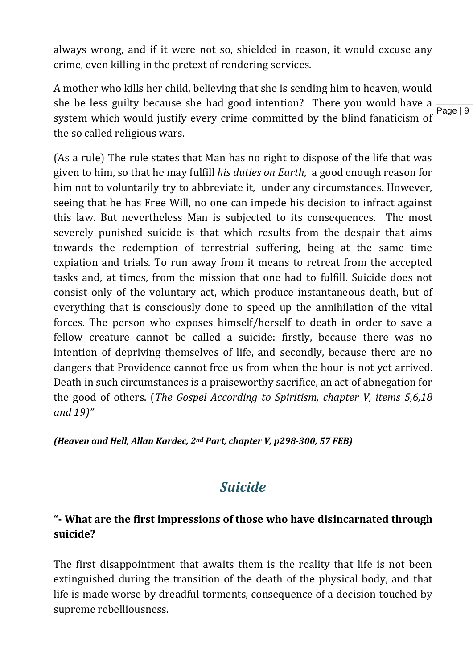always wrong, and if it were not so, shielded in reason, it would excuse any crime, even killing in the pretext of rendering services.

she be less guilty because she had good intention? There you would have a  $\frac{P}{Page|9}$ A mother who kills her child, believing that she is sending him to heaven, would system which would justify every crime committed by the blind fanaticism of the so called religious wars.

(As a rule) The rule states that Man has no right to dispose of the life that was given to him, so that he may fulfill *his duties on Earth*, a good enough reason for him not to voluntarily try to abbreviate it, under any circumstances. However, seeing that he has Free Will, no one can impede his decision to infract against this law. But nevertheless Man is subjected to its consequences. The most severely punished suicide is that which results from the despair that aims towards the redemption of terrestrial suffering, being at the same time expiation and trials. To run away from it means to retreat from the accepted tasks and, at times, from the mission that one had to fulfill. Suicide does not consist only of the voluntary act, which produce instantaneous death, but of everything that is consciously done to speed up the annihilation of the vital forces. The person who exposes himself/herself to death in order to save a fellow creature cannot be called a suicide: firstly, because there was no intention of depriving themselves of life, and secondly, because there are no dangers that Providence cannot free us from when the hour is not yet arrived. Death in such circumstances is a praiseworthy sacrifice, an act of abnegation for the good of others. (*The Gospel According to Spiritism, chapter V, items 5,6,18 and 19)"*

*(Heaven and Hell, Allan Kardec, 2nd Part, chapter V, p298-300, 57 FEB)* 

## *Suicide*

## **"- What are the first impressions of those who have disincarnated through suicide?**

The first disappointment that awaits them is the reality that life is not been extinguished during the transition of the death of the physical body, and that life is made worse by dreadful torments, consequence of a decision touched by supreme rebelliousness.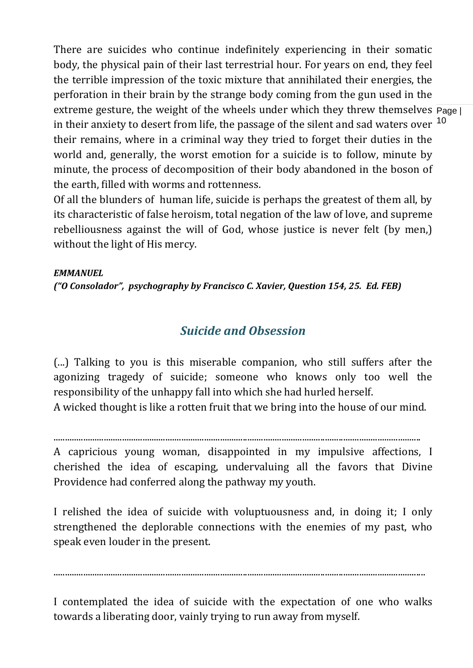extreme gesture, the weight of the wheels under which they threw themselves Page | in their anxiety to desert from life, the passage of the silent and sad waters over  $\rm ^{10}$ There are suicides who continue indefinitely experiencing in their somatic body, the physical pain of their last terrestrial hour. For years on end, they feel the terrible impression of the toxic mixture that annihilated their energies, the perforation in their brain by the strange body coming from the gun used in the their remains, where in a criminal way they tried to forget their duties in the world and, generally, the worst emotion for a suicide is to follow, minute by minute, the process of decomposition of their body abandoned in the boson of the earth, filled with worms and rottenness.

Of all the blunders of human life, suicide is perhaps the greatest of them all, by its characteristic of false heroism, total negation of the law of love, and supreme rebelliousness against the will of God, whose justice is never felt (by men,) without the light of His mercy.

#### *EMMANUEL*

*("O Consolador", psychography by Francisco C. Xavier, Question 154, 25. Ed. FEB)* 

## *Suicide and Obsession*

(...) Talking to you is this miserable companion, who still suffers after the agonizing tragedy of suicide; someone who knows only too well the responsibility of the unhappy fall into which she had hurled herself.

A wicked thought is like a rotten fruit that we bring into the house of our mind.

.................................................................................................................................................................

A capricious young woman, disappointed in my impulsive affections, I cherished the idea of escaping, undervaluing all the favors that Divine Providence had conferred along the pathway my youth.

I relished the idea of suicide with voluptuousness and, in doing it; I only strengthened the deplorable connections with the enemies of my past, who speak even louder in the present.

...................................................................................................................................................................

I contemplated the idea of suicide with the expectation of one who walks towards a liberating door, vainly trying to run away from myself.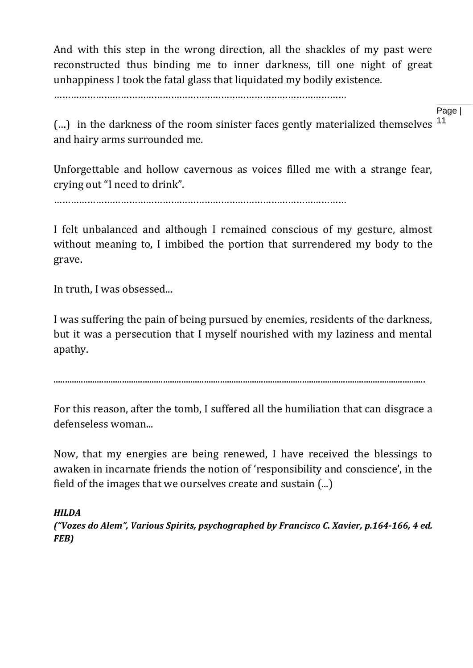And with this step in the wrong direction, all the shackles of my past were reconstructed thus binding me to inner darkness, till one night of great unhappiness I took the fatal glass that liquidated my bodily existence.

……………………………………………………………………………………………

Page |

(...) in the darkness of the room sinister faces gently materialized themselves <sup>11</sup> and hairy arms surrounded me.

Unforgettable and hollow cavernous as voices filled me with a strange fear, crying out "I need to drink".

……………………………………………………………………………………………

I felt unbalanced and although I remained conscious of my gesture, almost without meaning to, I imbibed the portion that surrendered my body to the grave.

In truth, I was obsessed...

I was suffering the pain of being pursued by enemies, residents of the darkness, but it was a persecution that I myself nourished with my laziness and mental apathy.

...................................................................................................................................................................

For this reason, after the tomb, I suffered all the humiliation that can disgrace a defenseless woman...

Now, that my energies are being renewed, I have received the blessings to awaken in incarnate friends the notion of 'responsibility and conscience', in the field of the images that we ourselves create and sustain (...)

*HILDA*

*("Vozes do Alem", Various Spirits, psychographed by Francisco C. Xavier, p.164-166, 4 ed. FEB)*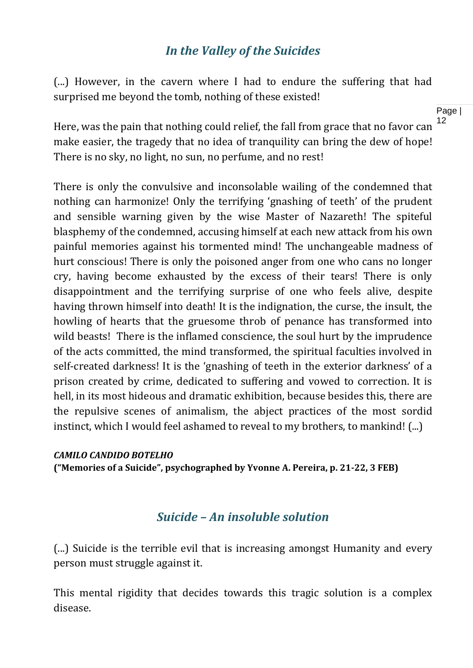## *In the Valley of the Suicides*

(...) However, in the cavern where I had to endure the suffering that had surprised me beyond the tomb, nothing of these existed!

Here, was the pain that nothing could relief, the fall from grace that no favor can make easier, the tragedy that no idea of tranquility can bring the dew of hope! There is no sky, no light, no sun, no perfume, and no rest!

There is only the convulsive and inconsolable wailing of the condemned that nothing can harmonize! Only the terrifying 'gnashing of teeth' of the prudent and sensible warning given by the wise Master of Nazareth! The spiteful blasphemy of the condemned, accusing himself at each new attack from his own painful memories against his tormented mind! The unchangeable madness of hurt conscious! There is only the poisoned anger from one who cans no longer cry, having become exhausted by the excess of their tears! There is only disappointment and the terrifying surprise of one who feels alive, despite having thrown himself into death! It is the indignation, the curse, the insult, the howling of hearts that the gruesome throb of penance has transformed into wild beasts! There is the inflamed conscience, the soul hurt by the imprudence of the acts committed, the mind transformed, the spiritual faculties involved in self-created darkness! It is the 'gnashing of teeth in the exterior darkness' of a prison created by crime, dedicated to suffering and vowed to correction. It is hell, in its most hideous and dramatic exhibition, because besides this, there are the repulsive scenes of animalism, the abject practices of the most sordid instinct, which I would feel ashamed to reveal to my brothers, to mankind! (...)

#### *CAMILO CANDIDO BOTELHO* **("Memories of a Suicide", psychographed by Yvonne A. Pereira, p. 21-22, 3 FEB)**

## *Suicide – An insoluble solution*

(...) Suicide is the terrible evil that is increasing amongst Humanity and every person must struggle against it.

This mental rigidity that decides towards this tragic solution is a complex disease.

Page | 12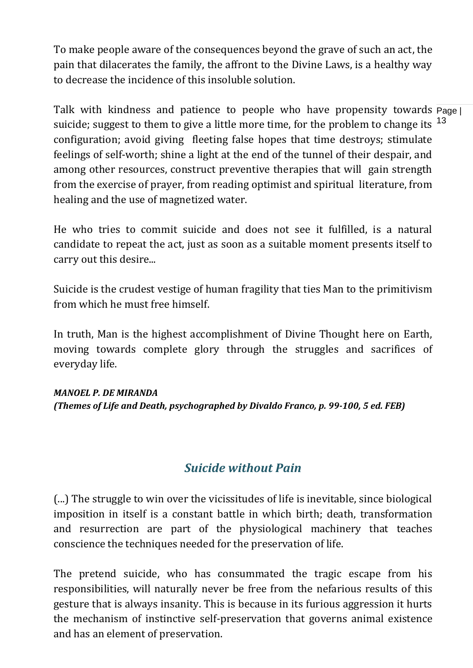To make people aware of the consequences beyond the grave of such an act, the pain that dilacerates the family, the affront to the Divine Laws, is a healthy way to decrease the incidence of this insoluble solution.

Talk with kindness and patience to people who have propensity towards Page | suicide; suggest to them to give a little more time, for the problem to change its <sup>13</sup> configuration; avoid giving fleeting false hopes that time destroys; stimulate feelings of self-worth; shine a light at the end of the tunnel of their despair, and among other resources, construct preventive therapies that will gain strength from the exercise of prayer, from reading optimist and spiritual literature, from healing and the use of magnetized water.

He who tries to commit suicide and does not see it fulfilled, is a natural candidate to repeat the act, just as soon as a suitable moment presents itself to carry out this desire...

Suicide is the crudest vestige of human fragility that ties Man to the primitivism from which he must free himself.

In truth, Man is the highest accomplishment of Divine Thought here on Earth, moving towards complete glory through the struggles and sacrifices of everyday life.

#### *MANOEL P. DE MIRANDA*

*(Themes of Life and Death, psychographed by Divaldo Franco, p. 99-100, 5 ed. FEB)*

## *Suicide without Pain*

(...) The struggle to win over the vicissitudes of life is inevitable, since biological imposition in itself is a constant battle in which birth; death, transformation and resurrection are part of the physiological machinery that teaches conscience the techniques needed for the preservation of life.

The pretend suicide, who has consummated the tragic escape from his responsibilities, will naturally never be free from the nefarious results of this gesture that is always insanity. This is because in its furious aggression it hurts the mechanism of instinctive self-preservation that governs animal existence and has an element of preservation.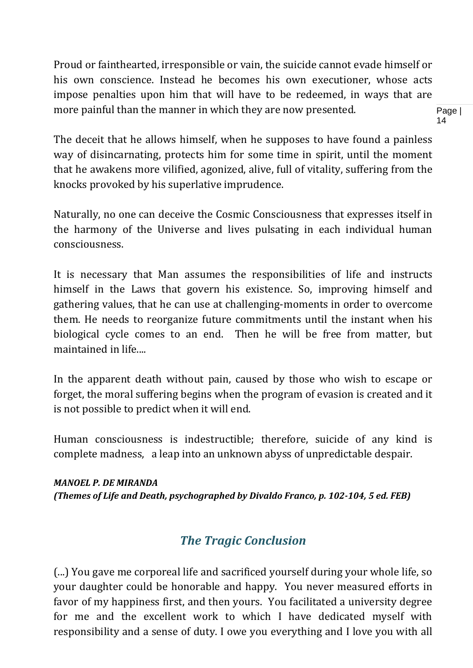Proud or fainthearted, irresponsible or vain, the suicide cannot evade himself or his own conscience. Instead he becomes his own executioner, whose acts impose penalties upon him that will have to be redeemed, in ways that are more painful than the manner in which they are now presented.

Page | 14

The deceit that he allows himself, when he supposes to have found a painless way of disincarnating, protects him for some time in spirit, until the moment that he awakens more vilified, agonized, alive, full of vitality, suffering from the knocks provoked by his superlative imprudence.

Naturally, no one can deceive the Cosmic Consciousness that expresses itself in the harmony of the Universe and lives pulsating in each individual human consciousness.

It is necessary that Man assumes the responsibilities of life and instructs himself in the Laws that govern his existence. So, improving himself and gathering values, that he can use at challenging-moments in order to overcome them. He needs to reorganize future commitments until the instant when his biological cycle comes to an end. Then he will be free from matter, but maintained in life....

In the apparent death without pain, caused by those who wish to escape or forget, the moral suffering begins when the program of evasion is created and it is not possible to predict when it will end.

Human consciousness is indestructible; therefore, suicide of any kind is complete madness, a leap into an unknown abyss of unpredictable despair.

#### *MANOEL P. DE MIRANDA*

*(Themes of Life and Death, psychographed by Divaldo Franco, p. 102-104, 5 ed. FEB)* 

## *The Tragic Conclusion*

(...) You gave me corporeal life and sacrificed yourself during your whole life, so your daughter could be honorable and happy. You never measured efforts in favor of my happiness first, and then yours. You facilitated a university degree for me and the excellent work to which I have dedicated myself with responsibility and a sense of duty. I owe you everything and I love you with all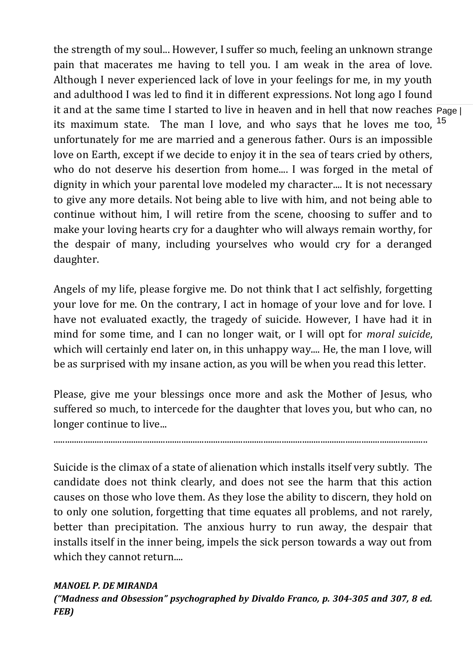it and at the same time I started to live in heaven and in hell that now reaches Page | its maximum state. The man I love, and who says that he loves me too, <sup>15</sup> the strength of my soul... However, I suffer so much, feeling an unknown strange pain that macerates me having to tell you. I am weak in the area of love. Although I never experienced lack of love in your feelings for me, in my youth and adulthood I was led to find it in different expressions. Not long ago I found unfortunately for me are married and a generous father. Ours is an impossible love on Earth, except if we decide to enjoy it in the sea of tears cried by others, who do not deserve his desertion from home.... I was forged in the metal of dignity in which your parental love modeled my character.... It is not necessary to give any more details. Not being able to live with him, and not being able to continue without him, I will retire from the scene, choosing to suffer and to make your loving hearts cry for a daughter who will always remain worthy, for the despair of many, including yourselves who would cry for a deranged daughter.

Angels of my life, please forgive me. Do not think that I act selfishly, forgetting your love for me. On the contrary, I act in homage of your love and for love. I have not evaluated exactly, the tragedy of suicide. However, I have had it in mind for some time, and I can no longer wait, or I will opt for *moral suicide*, which will certainly end later on, in this unhappy way.... He, the man I love, will be as surprised with my insane action, as you will be when you read this letter.

Please, give me your blessings once more and ask the Mother of Jesus, who suffered so much, to intercede for the daughter that loves you, but who can, no longer continue to live...

....................................................................................................................................................................

Suicide is the climax of a state of alienation which installs itself very subtly. The candidate does not think clearly, and does not see the harm that this action causes on those who love them. As they lose the ability to discern, they hold on to only one solution, forgetting that time equates all problems, and not rarely, better than precipitation. The anxious hurry to run away, the despair that installs itself in the inner being, impels the sick person towards a way out from which they cannot return....

#### *MANOEL P. DE MIRANDA*

*("Madness and Obsession" psychographed by Divaldo Franco, p. 304-305 and 307, 8 ed. FEB)*